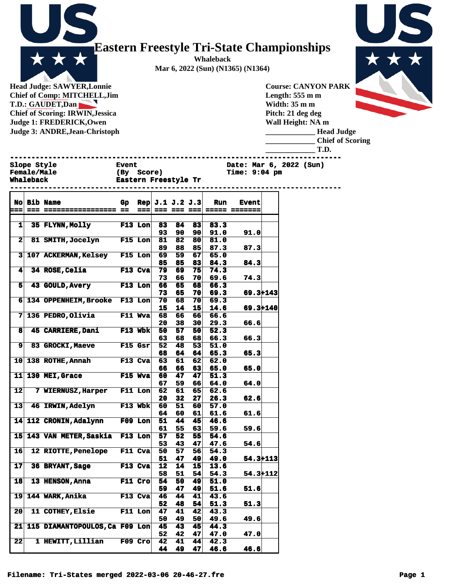**Whaleback Mar 6, 2022 (Sun) (N1365) (N1364)**

**Head Judge: SAWYER,Lonnie Chief of Comp: MITCHELL,Jim T.D.: GAUDET,Dan Chief of Scoring: IRWIN,Jessica Judge 1: FREDERICK,Owen Judge 3: ANDRE,Jean-Christoph** 

Х

\* \*

**Course: CANYON PARK Length: 555 m m Width: 35 m m Pitch: 21 deg deg Wall Height: NA m \_\_\_\_\_\_\_\_\_\_\_\_\_ Head Judge**

**\_\_\_\_\_\_\_\_\_\_\_\_\_ Chief of Scoring**

**\_\_\_\_\_\_\_\_\_\_\_\_\_ T.D.**

| <b>Slope Style</b><br><b>Female/Male</b> | <b>Event</b><br>(By Score) | Date: Mar 6, 2022 (Sun)<br><b>Time: 9:04 pm</b> |
|------------------------------------------|----------------------------|-------------------------------------------------|
| <b>Whaleback</b>                         | Eastern Freestyle Tr       |                                                 |

|                         | No Bib Name                              | Gp             |           | $\text{Rep}[\text{ J.1 J.2 J.3}]$ |                           |          | Run          | <b>Event</b> |  |
|-------------------------|------------------------------------------|----------------|-----------|-----------------------------------|---------------------------|----------|--------------|--------------|--|
| $:=$                    |                                          |                | $==$      |                                   |                           |          |              |              |  |
|                         |                                          |                |           |                                   |                           |          |              |              |  |
| $\mathbf{1}$            | <b>35 FLYNN, Molly</b><br><b>F13 Lon</b> |                |           | 83                                | 84                        | 83       | 83.3         |              |  |
| $\overline{\mathbf{2}}$ |                                          |                |           | 93                                | 90<br>$\overline{\bf 82}$ | 90       | 91.0         | 91.0         |  |
|                         | 81 SMITH, Jocelyn F15 Lon                |                |           | 81                                |                           | 80<br>85 | 81.0         |              |  |
|                         | 3 107 ACKERMAN, Kelsey F15 Lon           |                |           | 89<br>69                          | 88<br>59                  | 67       | 87.3<br>65.0 | 87.3         |  |
|                         |                                          |                |           | 85                                | 85                        | 83       | 84.3         | 84.3         |  |
| 41                      | 34 ROSE, Celia                           | F13 Cva        |           | 79                                | 69                        | 75       | 74.3         |              |  |
|                         |                                          |                |           | 73                                | 66                        | 70 I     | 69.6         | 74.3         |  |
| 5                       | 43 GOULD, Avery F13 Lon                  |                |           | 66                                | 65                        | 68       | 66.3         |              |  |
|                         |                                          |                |           | 73                                | 65                        | 70       | 69.3         | $69.3 + 143$ |  |
| 6 <sup>1</sup>          | 134 OPPENHEIM, Brooke F13 Lon            |                |           | 70                                | 68                        | 70       | 69.3         |              |  |
|                         |                                          |                |           | 15                                | 14                        | 15       | 14.6         | $69.3 + 140$ |  |
| 7 <sup>1</sup>          | 136 PEDRO, Olivia F11 Wva                |                |           | 68                                | 66                        | 66       | 66.6         |              |  |
|                         |                                          |                |           | 20                                | 38                        | 30       | 29.3         | 66.6         |  |
| 8                       | <b>45 CARRIERE, Dani</b>                 | F13 Wbk        |           | 50                                | 57                        | 50       | 52.3         |              |  |
|                         |                                          |                |           | 63                                | 68                        | 68       | 66.3         | 66.3         |  |
| 9                       | <b>83 GROCKI, Maeve</b>                  | F15 Gsr        |           | 52                                | 48                        | 53       | 51.0         |              |  |
|                         |                                          |                |           | 68                                | 64                        | 64       | 65.3         | 65.3         |  |
| 10                      | 138 ROTHE, Annah                         | <b>F13 Cva</b> |           | 63                                | 61                        | 62       | 62.0         |              |  |
|                         |                                          |                |           | 66                                | 66                        | 63       | 65.0         | 65.0         |  |
| 11                      | <b>130 MEI, Grace</b><br><b>F15 Wya</b>  |                |           | 60                                | 47                        | 47       | 51.3         |              |  |
|                         |                                          |                |           | 67                                | 59                        | 66       | 64.0         | 64.0         |  |
| 12                      | 7 WIERNUSZ, Harper F11 Lon               |                |           | 62                                | 61                        | 65       | 62.6         |              |  |
|                         |                                          |                |           | 20                                | 32                        | 27       | 26.3         | 62.6         |  |
| 13                      | 46 IRWIN, Adelyn F13 Wbk                 |                |           | 60                                | 51                        | 60       | 57.0         |              |  |
|                         |                                          |                |           | 64                                | 60                        | 61       | 61.6         | 61.6         |  |
| 14                      | 112 CRONIN, Adalynn F09 Lon              |                |           | 51                                | 44                        | 45       | 46.6         |              |  |
|                         |                                          |                |           | 61                                | 55                        | 63       | 59.6         | 59.6         |  |
| 15                      | 143 VAN METER, Saskia F13 Lon            |                |           | 57                                | 52                        | 55       | 54.6         |              |  |
|                         |                                          |                |           | 53                                | 43                        | 47       | 47.6         | 54.6         |  |
| 16                      | <b>12 RIOTTE, Penelope</b>               |                | F11 Cva   | 50                                | 57                        | 56       | 54.3         |              |  |
|                         |                                          |                |           | 51                                | 47                        | 49       | 49.0         | $54.3 + 113$ |  |
| 17                      | 36 BRYANT, Sage                          |                | F13 Cva   | 12                                | 14                        | 15       | 13.6         |              |  |
|                         |                                          |                |           | 58                                | 51                        | 54       | 54.3         | $54.3 + 112$ |  |
| 18                      | 13 HENSON, Anna                          | $F11$ Cro      |           | 54                                | 50                        | 49       | 51.0         |              |  |
|                         |                                          |                |           | 59                                | 47                        | 49       | 51.6         | 51.6         |  |
| 19                      | 144 WARK, Anika                          |                | F13 Cva   | 46                                | 44                        | 41       | 43.6         |              |  |
|                         |                                          |                |           | 52                                | 48                        | 54       | 51.3         | 51.3         |  |
| 20                      | 11 COTHEY, Elsie F11 Lon                 |                |           | 47                                | 41                        | 42       | 43.3         |              |  |
|                         |                                          |                |           | 50                                | 49                        | 50       | 49.6         | 49.6         |  |
| 21                      | 115 DIAMANTOPOULOS, Ca F09 Lon           |                |           | 45                                | 43                        | 45       | 44.3         |              |  |
|                         |                                          |                |           | 52                                | 42                        | 47       | 47.0         | 47.0         |  |
| 22                      | <b>1 HEWITT, Lillian</b>                 |                | $F09$ Cro | 42                                | 41                        | 44       | 42.3         |              |  |
|                         |                                          |                |           | 44                                | 49                        | 47       | 46.6         | 46.6         |  |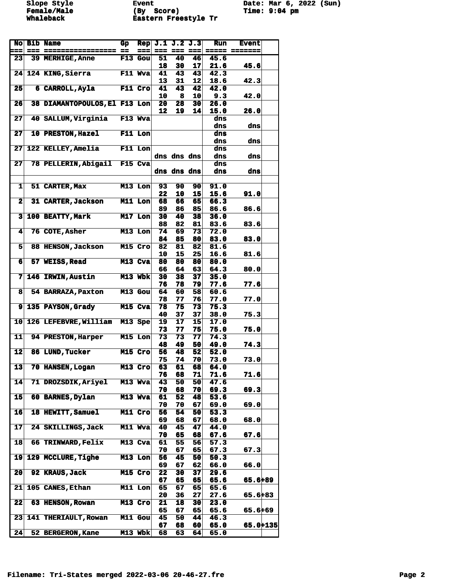**Female/Male (By Score) Time: 9:04 pm Whaleback Eastern Freestyle Tr** 

Slope Style **Event** Event Date: Mar 6, 2022 (Sun)<br> **Female/Male** (By Score) Time: 9:04 pm

|                          | No Bib Name                   | Gp |                | Rep $J.1 J.2 J.3$ |                 |          | Run          | <b>Event</b> |  |
|--------------------------|-------------------------------|----|----------------|-------------------|-----------------|----------|--------------|--------------|--|
| $=$                      |                               |    |                |                   | $= 22$ $= 22$   |          | $= -$        |              |  |
| 23                       | 39 MERHIGE, Anne              |    | $F13$ Gou      | 51                | 40              | 46       | 45.6         |              |  |
|                          |                               |    |                | 18                | 30              | 17       | 21.6         | 45.6         |  |
|                          | 24 124 KING, Sierra           |    | F11 Wva        | 41                | 43              | 43       | 42.3         |              |  |
|                          |                               |    |                | 13                | 31              | 12       | 18.6         | 42.3         |  |
| 25                       | 6 CARROLL, Ayla               |    | F11 Cro        | 41                | 43              | 42       | 42.0         |              |  |
|                          |                               |    |                | 10                | -8              | 10       | 9.3          | 42.0         |  |
| 26                       | 38 DIAMANTOPOULOS, El F13 Lon |    |                | 20                | 28              | 30       | 26.0         |              |  |
|                          |                               |    |                | 12                | 19              | 14       | 15.0         | 26.0         |  |
| 27                       | 40 SALLUM.Virginia            |    | F13 Wva        |                   |                 |          | dns          |              |  |
|                          |                               |    |                |                   |                 |          | dns          | dns          |  |
| 27                       | <b>10 PRESTON, Hazel</b>      |    | $F11$ Lon      |                   |                 |          | dns          |              |  |
|                          |                               |    |                |                   |                 |          | dns          | dns          |  |
| 27                       | 122 KELLEY, Amelia            |    | $F11$ Lon      |                   | dns dns dns     |          | dns          |              |  |
| 27                       | 78 PELLERIN, Abigail F15 Cva  |    |                |                   |                 |          | dns<br>dns   | dns          |  |
|                          |                               |    |                |                   | dns dns dns     |          | dns          | dns          |  |
|                          |                               |    |                |                   |                 |          |              |              |  |
| 1                        | 51 CARTER, Max                |    | $M13$ Lon      | 93                | 90              | 90       | 91.0         |              |  |
|                          |                               |    |                | 22                | 10              | 15       | 15.6         | 91.0         |  |
| $\mathbf{2}$             | 31 CARTER, Jackson            |    | M11 Lon        | 68                | 66              | 65       | 66.3         |              |  |
|                          |                               |    |                | 89                | 86              | 85       | 86.6         | 86.6         |  |
| 3                        | 100 BEATTY, Mark              |    | $M17$ Lon      | 30                | 40              | 38       | 36.0         |              |  |
|                          |                               |    |                | 88                | 82              | 81       | 83.6         | 83.6         |  |
| 4                        | 76 COTE, Asher                |    | $M13$ Lon      | 74                | 69              | 73       | 72.0         |              |  |
|                          |                               |    |                | 84                | 85              | 80       | 83.0         | 83.0         |  |
| 5                        | 88 HENSON, Jackson            |    | $M15$ Cro      | 82                | 81              | 82       | 81.6         |              |  |
|                          |                               |    |                | 10                | 15              | 25       | 16.6         | 81.6         |  |
| 6                        | 57 WEISS, Read                |    | M13 Cva        | 80                | 80              | 80       | 80.0         |              |  |
|                          |                               |    |                | 66                | 64              | 63       | 64.3         | 80.0         |  |
| $\overline{7}$           | <b>146 IRWIN, Austin</b>      |    | M13 Wbk        | 30                | 38              | 37       | 35.0         |              |  |
|                          | 54 BARRAZA, Paxton            |    | $M13$ Gou      | 76<br>64          | 78<br>60        | 79<br>58 | 77.6<br>60.6 | 77.6         |  |
| 8                        |                               |    |                | 78                | 77              | 76       | 77.0         | 77.0         |  |
| 9                        | 135 PAYSON, Grady             |    | M15 Cva        | 78                | 75              | 73       | 75.3         |              |  |
|                          |                               |    |                | 40                | 37              | 37       | 38.0         | 75.3         |  |
| 10 <sub>1</sub>          | 126 LEFEBVRE, William M13 Spe |    |                | 19                | 17              | 15       | 17.0         |              |  |
|                          |                               |    |                | 73                | 77              | 75       | 75.0         | 75.0         |  |
| 11                       | <b>94 PRESTON, Harper</b>     |    | $M15$ Lon      | 73                | 73              | 77       | 74.3         |              |  |
|                          |                               |    |                | 48                | 49              | 50       | 49.0         | 74.3         |  |
| 12                       | 86 LUND, Tucker               |    | M15 Cro        | 56                | 48              | 52       | 52.0         |              |  |
|                          |                               |    |                | 75                | 74              | 70       | 73.0         | 73.0         |  |
| 13                       | 70 HANSEN, Logan              |    | $M13$ Cro      | 63                | 61              | 68       | 64.0         |              |  |
|                          |                               |    |                | 76                | 68              | 71       | 71.6         | 71.6         |  |
| 14                       | 71 DROZSDIK, Arivel           |    | M13 Wva        | 43                | 50              | 50       | 47.6         |              |  |
|                          |                               |    |                | 70                | 68              | 70       | 69.3         | 69.3         |  |
| $\overline{\mathbf{15}}$ | 60 BARNES, Dylan              |    | M13 Wva        | 61                | 52              | 48       | 53.6         |              |  |
| 16                       | 18 HEWITT, Samuel             |    | M11 Cro        | 70<br>56          | 70<br>54        | 67<br>50 | 69.0<br>53.3 | 69.0         |  |
|                          |                               |    |                | 69                | 68              | 67       | 68.0         | 68.0         |  |
| 17                       | 24 SKILLINGS, Jack            |    | M11 Wva        | 40                | 45              | 47       | 44.0         |              |  |
|                          |                               |    |                | 70                | 65              | 68       | 67.6         | 67.6         |  |
| 18                       | 66 TRINWARD, Felix            |    | M13 Cva        | 61                | 55              | 56       | 37.3         |              |  |
|                          |                               |    |                | 70                | 67              | 65       | 67.3         | 67.3         |  |
| 19 <sup>°</sup>          | 129 MCCLURE, Tighe            |    | $M13$ Lon      | 56                | $4\overline{5}$ | 50       | 50.3         |              |  |
|                          |                               |    |                | 69                | 67              | 62       | 66.0         | 66.0         |  |
| 20                       | 92 KRAUS, Jack                |    | $M15$ Cro      | 22                | 30              | 37       | 29.6         |              |  |
|                          |                               |    |                | 67                | 65              | 65       | 65.6         | 65.6+89      |  |
| 21                       | 105 CANES, Ethan              |    | M11 Lon        | 65                | 67              | 65       | 65.6         |              |  |
|                          |                               |    |                | 20                | 36              | 27       | 27.6         | 65.6+83      |  |
| 22                       | <b>63 HENSON, Rowan</b>       |    | $M13$ Cro      | 21                | 18              | 30       | 23.0         |              |  |
|                          |                               |    |                | 65                | 67              | 65       | 65.6         | 65.6+69      |  |
| 23                       | 141 THERIAULT, Rowan          |    | <b>M11 Gou</b> | 45                | 50              | 44       | 46.3         |              |  |
| 24                       | 52 BERGERON, Kane             |    | M13 Wbk        | 67<br>68          | 68<br>63        | 60<br>64 | 65.0         | 65.0+135     |  |
|                          |                               |    |                |                   |                 |          | 65.0         |              |  |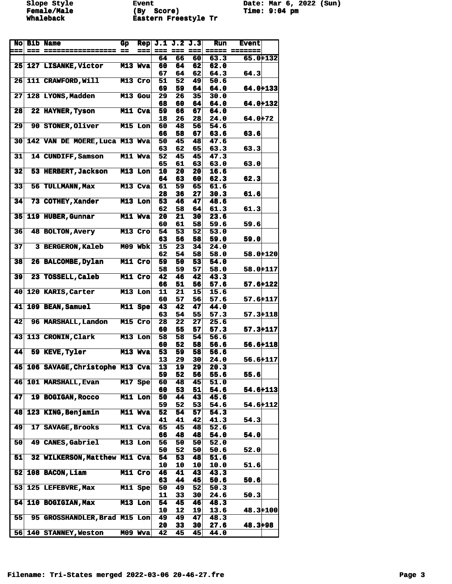Slope Style **Event** Event Date: Mar 6, 2022 (Sun)<br> **Female/Male** (By Score) Time: 9:04 pm **Female/Male (By Score) Time: 9:04 pm Whaleback Eastern Freestyle Tr** 

|                 | No Bib Name                          | Gp      | <b>Rep</b> |          | J.1 J.2 J.3             |                 | <b>Run</b>   | <b>Event</b>                  |  |
|-----------------|--------------------------------------|---------|------------|----------|-------------------------|-----------------|--------------|-------------------------------|--|
| $=$             |                                      |         | $==$       | 64       | $==  =  =  =  = $<br>66 | 60              | 63.3         | ===== =======<br>$65.0 + 132$ |  |
|                 | <b>25 127 LISANKE, Victor</b>        |         | M13 Wya    | 60       | 64                      | 62              | 62.0         |                               |  |
|                 |                                      |         |            | 67       | 64                      | 62              | 64.3         | 64.3                          |  |
| 26 <sub>l</sub> | 111 CRAWFORD, Will                   |         | M13 Cro    | 51       | 52                      | 49              | 50.6         |                               |  |
|                 |                                      |         |            | 69       | 59                      | 64              | 64.0         | 64.0+133                      |  |
| 27              | <b>128 LYONS, Madden</b>             |         | M13 Gou    | 29<br>68 | 26<br>60                | 35<br>64        | 30.0<br>64.0 | $64.0 + 132$                  |  |
| 28              | 22 HAYNER, Tyson                     |         | M11 Cva    | 59       | 66                      | 67              | 64.0         |                               |  |
|                 |                                      |         |            | 18       | 26                      | 28              | 24.0         | $64.0 + 72$                   |  |
| 29              | <b>90 STONER, Oliver</b>             |         | M15 Lon    | 60       | 48                      | 56              | 54.6         |                               |  |
|                 |                                      |         |            | 66       | 58                      | 67              | 63.6         | 63.6                          |  |
| 30              | 142 VAN DE MOERE, Luca M13 Wva       |         |            | 50<br>63 | 45<br>62                | 48<br>65        | 47.6<br>63.3 | 63.3                          |  |
| 31              | 14 CUNDIFF, Samson                   |         | M11 Wya    | 52       | 45                      | 45              | 47.3         |                               |  |
|                 |                                      |         |            | 65       | 61                      | 63              | 63.0         | 63.0                          |  |
| 32              | 53 HERBERT, Jackson                  |         | M13 Lon    | 10       | 20                      | 20              | 16.6         |                               |  |
| 33              | 56 TULLMANN, Max                     |         |            | 64       | 63                      | 60              | 62.3         | 62.3                          |  |
|                 |                                      |         | M13 Cva    | 61<br>28 | 59<br>36                | 65<br>27        | 61.6<br>30.3 | 61.6                          |  |
| 34              | 73 COTHEY, Xander                    |         | M13 Lon    | 53       | 46                      | 47              | 48.6         |                               |  |
|                 |                                      |         |            | 62       | 58                      | 64              | 61.3         | 61.3                          |  |
| 35              | 119 HUBER, Gunnar                    |         | M11 Wya    | 20       | 21                      | 30              | 23.6         |                               |  |
|                 |                                      |         |            | 60       | 61                      | 58              | 59.6         | 59.6                          |  |
| 36              | <b>48 BOLTON, Avery</b>              |         | M13 Cro    | 54<br>63 | $\overline{53}$<br>56   | 52<br>58        | 53.0<br>59.0 | 59.0                          |  |
| 37              | <b>3 BERGERON, Kaleb</b>             | M09 Wbk |            | 15       | 23                      | 34              | 24.0         |                               |  |
|                 |                                      |         |            | 62       | 54                      | 58              | 58.0         | $58.0 + 120$                  |  |
| 38              | 26 BALCOMBE, Dylan                   |         | M11 Cro    | 59       | 50                      | 53              | 54.0         |                               |  |
|                 |                                      |         |            | 58       | 59                      | 57              | 58.0         | 58.0+117                      |  |
| 39              | 23 TOSSELL, Caleb                    |         | M11 Cro    | 42<br>66 | 46<br>51                | 42<br>56        | 43.3<br>57.6 | $57.6 + 122$                  |  |
| 40              | 120 KARIS, Carter                    |         | M13 Lon    | 11       | 21                      | 15              | 15.6         |                               |  |
|                 |                                      |         |            | 60       | 57                      | 56              | 57.6         | $57.6 + 117$                  |  |
| 41              | 109 BEAN, Samuel                     |         | M11 Spe    | 43       | 42                      | 47              | 44.0         |                               |  |
|                 |                                      |         |            | 63       | 54                      | 55              | 57.3         | $57.3 + 118$                  |  |
| 42              | 96 MARSHALL, Landon                  |         | M15 Cro    | 28<br>60 | 22<br>55                | 27<br>57        | 25.6<br>57.3 | $57.3 + 117$                  |  |
| 43              | 113 CRONIN, Clark                    |         | M13 Lon    | 58       | 58                      | 54              | 56.6         |                               |  |
|                 |                                      |         |            | 60       | 52                      | 58              | 56.6         | $56.6 + 118$                  |  |
| 44              | 59 KEVE, Tyler                       |         | M13 Wva    | 53       | 59                      | 58              | 56.6         |                               |  |
|                 | 45 106 SAVAGE, Christophe M13 Cva    |         |            | 13<br>13 | 29<br>19                | 30<br>29        | 24.0<br>20.3 | $56.6 + 117$                  |  |
|                 |                                      |         |            | 59       | 52                      | 56              | 55.6         | 55.6                          |  |
| 46              | <b>101 MARSHALL, Evan</b>            |         | M17 Spe    | 60       | 48                      | 45              | 51.0         |                               |  |
|                 |                                      |         |            | 60       | 53                      | 51              | 54.6         | $54.6 + 113$                  |  |
| 47              | 19 BOGIGAN, Rocco                    |         | M11 Lon    | 50       | 44                      | $\overline{43}$ | 45.6         |                               |  |
| 48              | 123 KING, Benjamin                   |         | M11 Wva    | 59<br>52 | 52<br>54                | 53<br>57        | 54.6<br>54.3 | 54.6+112                      |  |
|                 |                                      |         |            | 41       | 41                      | 42              | 41.3         | 54.3                          |  |
| 49              | 17 SAVAGE, Brooks                    |         | M11 Cva    | 65       | 45                      | 48              | 52.6         |                               |  |
|                 |                                      |         |            | 66       | 48                      | 48              | 54.0         | 54.0                          |  |
| 50              | 49 CANES, Gabriel                    |         | M13 Lon    | 56       | 50                      | 50              | 52.0         |                               |  |
| 51              | 32 WILKERSON, Matthew M11 Cva        |         |            | 50<br>54 | 52<br>53                | 50<br>48        | 50.6<br>51.6 | 52.0                          |  |
|                 |                                      |         |            | 10       | 10                      | 10              | 10.0         | 51.6                          |  |
| 52              | 108 BACON, Liam                      |         | M11 Cro    | 46       | 41                      | 43              | 43.3         |                               |  |
|                 |                                      |         |            | 63       | 44                      | 45              | 50.6         | 50.6                          |  |
| 53              | 125 LEFEBVRE, Max                    |         | M11 Spe    | 50       | 49                      | 52              | 50.3         |                               |  |
| 54              | 110 BOGIGIAN, Max                    |         | M13 Lon    | 11<br>54 | 33<br>45                | 30<br>46        | 24.6<br>48.3 | 50.3                          |  |
|                 |                                      |         |            | 10       | 12                      | 19              | 13.6         | 48.3+100                      |  |
| 55              | <b>95 GROSSHANDLER, Brad M15 Lon</b> |         |            | 49       | 49                      | 47              | 48.3         |                               |  |
|                 |                                      |         |            | 20       | 33                      | 30              | 27.6         | 48.3+98                       |  |
|                 | 56 140 STANNEY, Weston               | MO9     | <b>Wva</b> | 42       | 45                      | 45              | 44.0         |                               |  |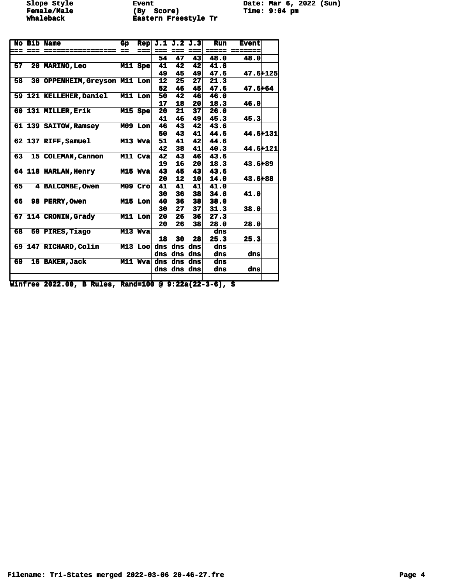**Female/Male (By Score) Time: 9:04 pm**<br>Whaleback **Eastern Freestyle Tr Whaleback Eastern Freestyle Tr** 

**Slope Style Event Date: Mar 6, 2022 (Sun)**

| No  |      | <b>Bib Name</b>                                       | Gр | Rep       |                     | J.1 J.2 J.3 |                 | Run      | <b>Event</b>    |  |
|-----|------|-------------------------------------------------------|----|-----------|---------------------|-------------|-----------------|----------|-----------------|--|
| === | $==$ | ================= ==                                  |    | ===       |                     | === === === |                 | $= 2222$ | $=$ = = = = = = |  |
|     |      |                                                       |    |           | 54                  | 47          | 43              | 48.0     | 48.0            |  |
| 57  |      | <b>20 MARINO, Leo</b>                                 |    | M11 Spe   | 41                  | 42          | 42              | 41.6     |                 |  |
|     |      |                                                       |    |           | 49                  | 45          | 49              | 47.6     | 47.6+125        |  |
| 58  |      | 30 OPPENHEIM, Greyson M11 Lon                         |    |           | 12                  | 25          | 27              | 21.3     |                 |  |
|     |      |                                                       |    |           | 52                  | 46          | 45              | 47.6     | $47.6 + 64$     |  |
| 59  |      | <b>121 KELLEHER, Daniel</b>                           |    | $M11$ Lon | 50                  | 42          | 46              | 46.0     |                 |  |
|     |      |                                                       |    |           | 17                  | 18          | 20 <sub>l</sub> | 18.3     | 46.0            |  |
|     |      | 60 131 MILLER, Erik                                   |    | $M15$ Spe | 20                  | 21          | 37              | 26.0     |                 |  |
|     |      |                                                       |    |           | 41                  | 46          | 49              | 45.3     | 45.3            |  |
|     |      | 61 139 SAITOW, Ramsey                                 |    | $M09$ Lon | 46                  | 43          | 42              | 43.6     |                 |  |
|     |      |                                                       |    |           | 50                  | 43          | 41              | 44.6     | 44.6+131        |  |
|     |      | 62 137 RIFF, Samuel                                   |    | M13 Wva   | 51                  | 41          | 42              | 44.6     |                 |  |
|     |      |                                                       |    |           | 42                  | 38          | 41              | 40.3     | 44.6+121        |  |
| 63  |      | 15 COLEMAN, Cannon                                    |    | M11 Cva   | 42                  | 43          | 46              | 43.6     |                 |  |
|     |      |                                                       |    |           | 19                  | 16          | 20 <sub>l</sub> | 18.3     | $43.6 + 89$     |  |
|     |      | 64 118 HARLAN, Henry                                  |    | M15 Wya   | 43                  | 45          | 43              | 43.6     |                 |  |
|     |      |                                                       |    |           | 20                  | 12          | 10 <sup>1</sup> | 14.0     | $43.6 + 88$     |  |
| 65  |      | <b>4 BALCOMBE, Owen</b>                               |    | $M09$ Cro | 41                  | 41          | 41              | 41.0     |                 |  |
|     |      |                                                       |    |           | 30                  | 36          | 38              | 34.6     | 41.0            |  |
| 66  |      | <b>98 PERRY, Owen</b>                                 |    | $M15$ Lon | 40                  | 36          | 38              | 38.0     |                 |  |
|     |      |                                                       |    |           | 30                  | 27          | 37              | 31.3     | 38.0            |  |
| 67  |      | 114 CRONIN, Grady                                     |    | M11 Lon   | 20                  | 26          | 36              | 27.3     |                 |  |
|     |      |                                                       |    |           | 20                  | 26          | 38              | 28.0     | 28.0            |  |
| 68  |      | 50 PIRES, Tiago                                       |    | M13 Wya   |                     |             |                 | dns      |                 |  |
|     |      |                                                       |    |           | 18                  | 30          | 28              | 25.3     | 25.3            |  |
|     |      | 69 147 RICHARD, Colin                                 |    | $M13$ Loo |                     | dns dns dns |                 | dns      |                 |  |
|     |      |                                                       |    |           |                     | dns dns dns |                 | dns      | dns             |  |
| 69  |      | 16 BAKER, Jack                                        |    |           | M11 Wya dns dns dns |             |                 | dns      |                 |  |
|     |      |                                                       |    |           |                     | dns dns dns |                 | dns      | dns             |  |
|     |      |                                                       |    |           |                     |             |                 |          |                 |  |
|     |      | Winfree 2022.00, B Rules, Rand=100 @ 9:22a(22-3-6), S |    |           |                     |             |                 |          |                 |  |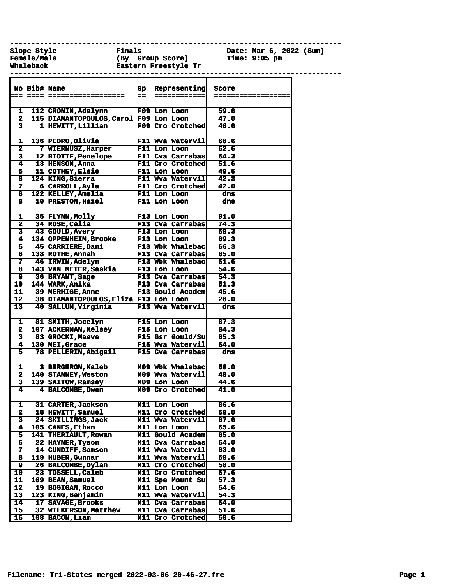**------------------------------------------------------------------------------**

**Female/Male (By Group Score) Time: 9:05 pm Whaleback Eastern Freestyle Tr ------------------------------------------------------------------------------**

**Slope Style Finals Date: Mar 6, 2022 (Sun)**

|                         | No Bib# Name |                                        |    | Gp Representing           | Score              |
|-------------------------|--------------|----------------------------------------|----|---------------------------|--------------------|
| $==$                    |              | <b>==== ==================</b>         | == | ============              | ------------------ |
|                         |              |                                        |    |                           |                    |
| 11                      |              | 112 CRONIN, Adalynn                    |    | F09 Lon Loon              | 59.6               |
| $\mathbf{2}$            |              | 115 DIAMANTOPOULOS, Carol F09 Lon Loon |    |                           | 47.0               |
| $\overline{\mathbf{3}}$ |              | 1 HEWITT, Lillian                      |    | F09 Cro Crotched          | 46.6               |
|                         |              |                                        |    |                           |                    |
| 1                       |              | 136 PEDRO, Olivia                      |    | F11 Wva Watervil          | 66.6               |
| 2 <sup>1</sup>          |              | 7 WIERNUSZ, Harper                     |    | F11 Lon Loon              | 62.6               |
| $\mathbf{3}$            |              | 12 RIOTTE, Penelope                    |    | F11 Cva Carrabas          | 54.3               |
| 4                       |              | 13 HENSON, Anna                        |    | <b>F11 Cro Crotched</b>   | 51.6               |
| 5                       |              | 11 COTHEY, Elsie                       |    | <b>F11 Lon Loon</b>       | 49.6               |
| 6 <sup>1</sup>          |              | 124 KING, Sierra                       |    | F11 Wva Watervil          | 42.3               |
| 7 <sup>1</sup>          |              | 6 CARROLL, Ayla                        |    | F11 Cro Crotched          | 42.0               |
| 8                       |              | 122 KELLEY, Amelia                     |    | F11 Lon Loon              | dns                |
| 8                       |              | 10 PRESTON, Hazel                      |    | F11 Lon Loon              | dns                |
|                         |              |                                        |    |                           |                    |
| 1                       |              | 35 FLYNN, Molly                        |    | F13 Lon Loon              | 91.0               |
| $\overline{2}$          |              | 34 ROSE, Celia                         |    | F13 Cva Carrabas          | 74.3               |
| $\vert$ 3               |              | 43 GOULD, Avery                        |    | F13 Lon Loon              | 69.3               |
| $\vert$                 |              | 134 OPPENHEIM, Brooke                  |    | F13 Lon Loon              | 69.3               |
| $\overline{5}$          |              | 45 CARRIERE, Dani                      |    | F13 Wbk Whalebac          | 66.3               |
| 6                       |              | 138 ROTHE, Annah                       |    | F13 Cva Carrabas          | 65.0               |
| 7 <sup>1</sup>          |              | 46 IRWIN, Adelyn                       |    | F13 Wbk Whalebac          | 61.6               |
| 8                       |              | 143 VAN METER, Saskia                  |    | <b>F13 Lon Loon</b>       | 54.6               |
| 9                       |              | 36 BRYANT, Sage                        |    | F13 Cva Carrabas          | 54.3               |
| 10 <sub>1</sub>         |              | 144 WARK, Anika                        |    | F13 Cva Carrabas          | 51.3               |
| 11                      |              | 39 MERHIGE, Anne                       |    | F13 Gould Academ          | 45.6               |
| 12                      |              | 38 DIAMANTOPOULOS, Eliza F13 Lon Loon  |    |                           | 26.0               |
| 13 <sup>1</sup>         |              | 40 SALLUM, Virginia                    |    | F13 Wva Watervil          | dns                |
|                         |              |                                        |    |                           |                    |
| $1\vert$                |              | 81 SMITH, Jocelyn                      |    | <b>F15 Lon Loon</b>       | 87.3               |
| $\mathbf{2}$            |              | 107 ACKERMAN, Kelsey                   |    | <b>F15 Lon Loon</b>       | 84.3               |
| $\mathbf{3}$            |              | 83 GROCKI, Maeve                       |    | F15 Gsr Gould/Su          | 65.3               |
| 4                       |              | 130 MEI, Grace                         |    | F15 Wva Watervil          | 64.0               |
| 5                       |              | 78 PELLERIN, Abigail                   |    | F15 Cva Carrabas          | dns                |
|                         |              |                                        |    |                           |                    |
| 1                       |              | 3 BERGERON, Kaleb                      |    | M09 Wbk Whalebac          | 58.0               |
| $\mathbf{2}$            |              | 140 STANNEY, Weston                    |    | M09 Wva Watervil          | 48.0               |
| $\mathbf{3}$            |              | 139 SAITOW, Ramsey                     |    | M09 Lon Loon              | 44.6               |
| 4                       |              | 4 BALCOMBE, Owen                       |    | M09 Cro Crotched          | 41.0               |
|                         |              |                                        |    |                           |                    |
| 1                       |              | 31 CARTER, Jackson                     |    | <b>M11 Lon Loon</b>       | 86.6               |
|                         |              | 18 HEWITT, Samuel                      |    | M11 Cro Crotched          | 68.0               |
| 2<br>$\mathbf{3}$       |              |                                        |    | M11 Wva Watervil          |                    |
| 4                       |              | 24 SKILLINGS, Jack<br>105 CANES, Ethan |    | $\overline{M11}$ Lon Loon | 67.6<br>65.6       |
|                         |              |                                        |    |                           |                    |
| 51                      |              | 141 THERIAULT, Rowan                   |    | M11 Gould Academ          | 65.0               |
| 6                       |              | 22 HAYNER, Tyson                       |    | M11 Cva Carrabas          | 64.0               |
| $\mathbf{7}$            |              | 14 CUNDIFF, Samson                     |    | M11 Wva Watervil          | 63.0               |
| 8                       |              | 119 HUBER, Gunnar                      |    | M11 Wva Watervil          | 59.6               |
| 9                       |              | 26 BALCOMBE, Dylan                     |    | M11 Cro Crotched          | 58.0               |
| 10                      |              | 23 TOSSELL, Caleb                      |    | M11 Cro Crotched          | 57.6               |
| $11$                    |              | 109 BEAN, Samuel                       |    | M11 Spe Mount Su          | 57.3               |
| 12                      |              | 19 BOGIGAN, ROCCO                      |    | M11 Lon Loon              | 54.6               |
| 13                      |              | 123 KING, Benjamin                     |    | <b>M11 Wya Watervil</b>   | 54.3               |
| 14                      |              | 17 SAVAGE, Brooks                      |    | M11 Cva Carrabas          | 54.0               |
| 15 <sub>1</sub>         |              | 32 WILKERSON, Matthew                  |    | M11 Cva Carrabas          | 31.6               |
| 16 <sup>1</sup>         |              | 108 BACON, Liam                        |    | M11 Cro Crotched          | 50.6               |